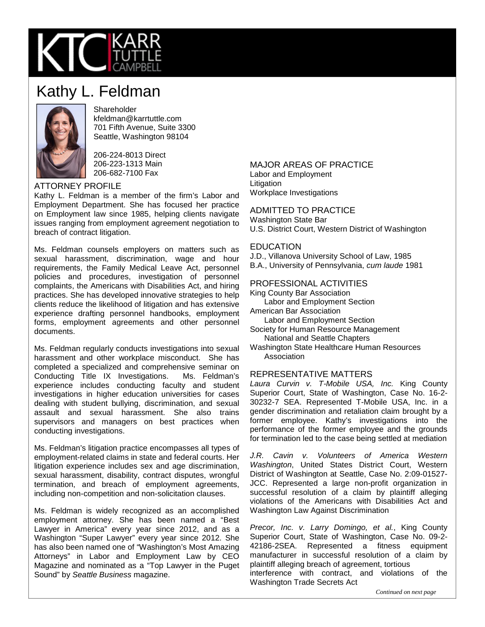

# Kathy L. Feldman



**Shareholder** kfeldman@karrtuttle.com 701 Fifth Avenue, Suite 3300 Seattle, Washington 98104

206-224-8013 Direct 206-223-1313 Main 206-682-7100 Fax

## ATTORNEY PROFILE

Kathy L. Feldman is a member of the firm's Labor and Employment Department. She has focused her practice on Employment law since 1985, helping clients navigate issues ranging from employment agreement negotiation to breach of contract litigation.

Ms. Feldman counsels employers on matters such as sexual harassment, discrimination, wage and hour requirements, the Family Medical Leave Act, personnel policies and procedures, investigation of personnel complaints, the Americans with Disabilities Act, and hiring practices. She has developed innovative strategies to help clients reduce the likelihood of litigation and has extensive experience drafting personnel handbooks, employment forms, employment agreements and other personnel documents.

Ms. Feldman regularly conducts investigations into sexual harassment and other workplace misconduct. She has completed a specialized and comprehensive seminar on Conducting Title IX Investigations. Ms. Feldman's experience includes conducting faculty and student investigations in higher education universities for cases dealing with student bullying, discrimination, and sexual assault and sexual harassment. She also trains supervisors and managers on best practices when conducting investigations.

Ms. Feldman's litigation practice encompasses all types of employment-related claims in state and federal courts. Her litigation experience includes sex and age discrimination, sexual harassment, disability, contract disputes, wrongful termination, and breach of employment agreements, including non-competition and non-solicitation clauses.

Ms. Feldman is widely recognized as an accomplished employment attorney. She has been named a "Best Lawyer in America" every year since 2012, and as a Washington "Super Lawyer" every year since 2012. She has also been named one of "Washington's Most Amazing Attorneys" in Labor and Employment Law by CEO Magazine and nominated as a "Top Lawyer in the Puget Sound" by *Seattle Business* magazine.

#### MAJOR AREAS OF PRACTICE Labor and Employment Litigation Workplace Investigations

ADMITTED TO PRACTICE Washington State Bar U.S. District Court, Western District of Washington

#### EDUCATION

J.D., Villanova University School of Law, 1985

B.A., University of Pennsylvania, *cum laude* 1981

## PROFESSIONAL ACTIVITIES

King County Bar Association Labor and Employment Section American Bar Association

- Labor and Employment Section
- Society for Human Resource Management National and Seattle Chapters
- Washington State Healthcare Human Resources **Association**

## REPRESENTATIVE MATTERS

*Laura Curvin v. T-Mobile USA, Inc.* King County Superior Court, State of Washington, Case No. 16-2- 30232-7 SEA. Represented T-Mobile USA, Inc. in a gender discrimination and retaliation claim brought by a former employee. Kathy's investigations into the performance of the former employee and the grounds for termination led to the case being settled at mediation

*J.R. Cavin v. Volunteers of America Western Washington*, United States District Court, Western District of Washington at Seattle, Case No. 2:09-01527- JCC. Represented a large non-profit organization in successful resolution of a claim by plaintiff alleging violations of the Americans with Disabilities Act and Washington Law Against Discrimination

*Precor, Inc. v. Larry Domingo, et al.*, King County Superior Court, State of Washington, Case No. 09-2- 42186-2SEA. Represented a fitness equipment manufacturer in successful resolution of a claim by plaintiff alleging breach of agreement, tortious interference with contract, and violations of the Washington Trade Secrets Act

*Continued on next page*